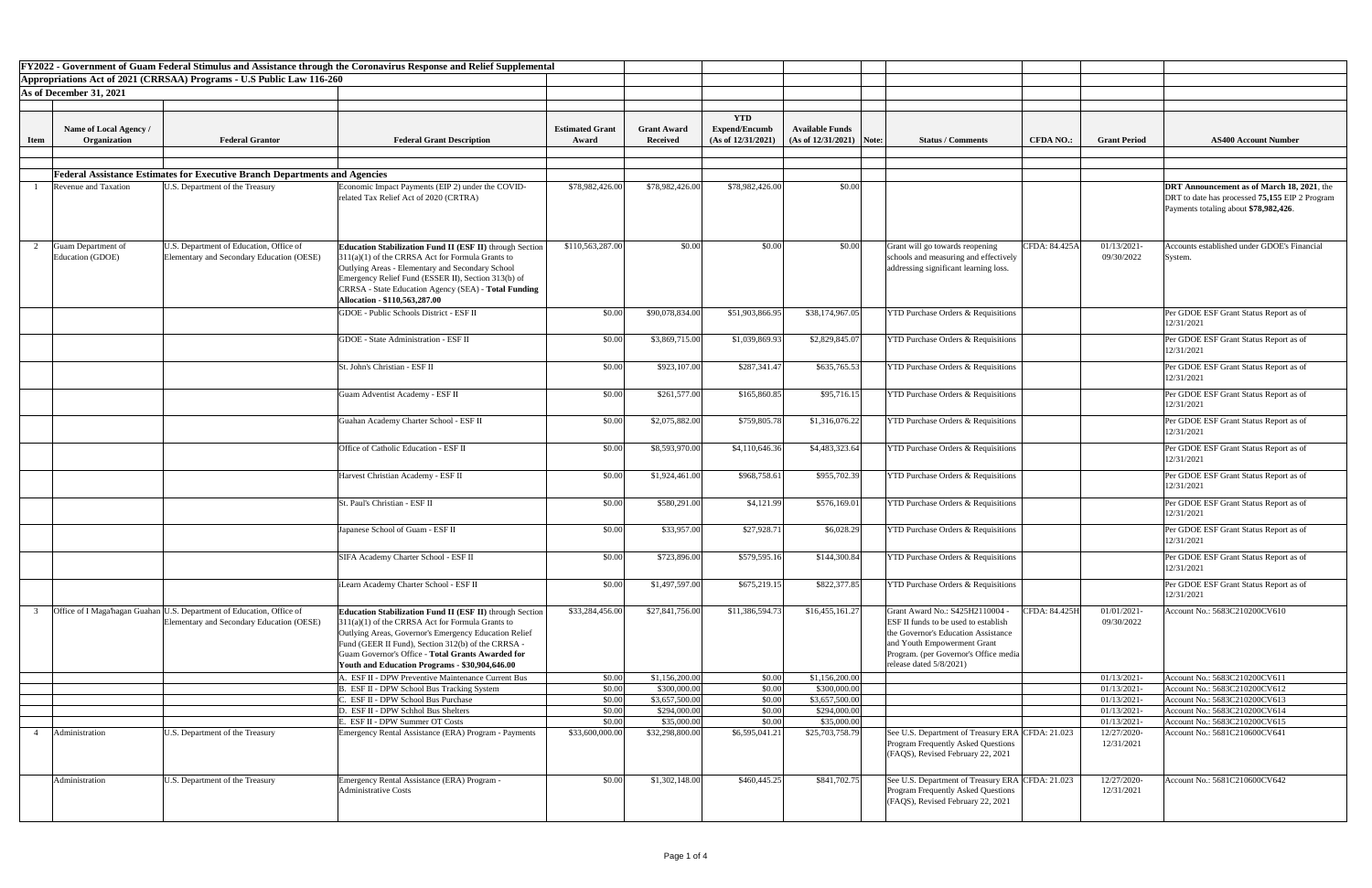|                         | FY2022 - Government of Guam Federal Stimulus and Assistance through the Coronavirus Response and Relief Supplemental |                                                                                                                    |                                                                                                                                                                                                                                                                                                                                             |                                 |                                       |                                            |                                                      |                                                                                                                                                                                                                          |                  |                            |                                                                                                                                              |
|-------------------------|----------------------------------------------------------------------------------------------------------------------|--------------------------------------------------------------------------------------------------------------------|---------------------------------------------------------------------------------------------------------------------------------------------------------------------------------------------------------------------------------------------------------------------------------------------------------------------------------------------|---------------------------------|---------------------------------------|--------------------------------------------|------------------------------------------------------|--------------------------------------------------------------------------------------------------------------------------------------------------------------------------------------------------------------------------|------------------|----------------------------|----------------------------------------------------------------------------------------------------------------------------------------------|
|                         |                                                                                                                      | Appropriations Act of 2021 (CRRSAA) Programs - U.S Public Law 116-260                                              |                                                                                                                                                                                                                                                                                                                                             |                                 |                                       |                                            |                                                      |                                                                                                                                                                                                                          |                  |                            |                                                                                                                                              |
| As of December 31, 2021 |                                                                                                                      |                                                                                                                    |                                                                                                                                                                                                                                                                                                                                             |                                 |                                       |                                            |                                                      |                                                                                                                                                                                                                          |                  |                            |                                                                                                                                              |
|                         |                                                                                                                      |                                                                                                                    |                                                                                                                                                                                                                                                                                                                                             |                                 |                                       |                                            |                                                      |                                                                                                                                                                                                                          |                  |                            |                                                                                                                                              |
|                         |                                                                                                                      |                                                                                                                    |                                                                                                                                                                                                                                                                                                                                             |                                 |                                       | <b>YTD</b>                                 |                                                      |                                                                                                                                                                                                                          |                  |                            |                                                                                                                                              |
| <b>Item</b>             | Name of Local Agency /<br>Organization                                                                               | <b>Federal Grantor</b>                                                                                             | <b>Federal Grant Description</b>                                                                                                                                                                                                                                                                                                            | <b>Estimated Grant</b><br>Award | <b>Grant Award</b><br><b>Received</b> | <b>Expend/Encumb</b><br>(As of 12/31/2021) | <b>Available Funds</b><br>$(As of 12/31/2021)$ Note: | <b>Status / Comments</b>                                                                                                                                                                                                 | <b>CFDA NO.:</b> | <b>Grant Period</b>        | <b>AS400 Account Number</b>                                                                                                                  |
|                         |                                                                                                                      |                                                                                                                    |                                                                                                                                                                                                                                                                                                                                             |                                 |                                       |                                            |                                                      |                                                                                                                                                                                                                          |                  |                            |                                                                                                                                              |
|                         |                                                                                                                      |                                                                                                                    |                                                                                                                                                                                                                                                                                                                                             |                                 |                                       |                                            |                                                      |                                                                                                                                                                                                                          |                  |                            |                                                                                                                                              |
|                         |                                                                                                                      | <b>Federal Assistance Estimates for Executive Branch Departments and Agencies</b>                                  |                                                                                                                                                                                                                                                                                                                                             |                                 |                                       |                                            |                                                      |                                                                                                                                                                                                                          |                  |                            |                                                                                                                                              |
|                         | Revenue and Taxation                                                                                                 | U.S. Department of the Treasury                                                                                    | Economic Impact Payments (EIP 2) under the COVID-<br>related Tax Relief Act of 2020 (CRTRA)                                                                                                                                                                                                                                                 | \$78,982,426.00                 | \$78,982,426.00                       | \$78,982,426.00                            | \$0.00                                               |                                                                                                                                                                                                                          |                  |                            | <b>DRT</b> Announcement as of March 18, 2021, the<br>DRT to date has processed 75,155 EIP 2 Program<br>Payments totaling about \$78,982,426. |
|                         | Guam Department of<br>Education (GDOE)                                                                               | U.S. Department of Education, Office of<br>Elementary and Secondary Education (OESE)                               | <b>Education Stabilization Fund II (ESF II)</b> through Section<br>$311(a)(1)$ of the CRRSA Act for Formula Grants to<br>Outlying Areas - Elementary and Secondary School<br>Emergency Relief Fund (ESSER II), Section 313(b) of<br>CRRSA - State Education Agency (SEA) - Total Funding<br>Allocation - \$110,563,287.00                   | \$110,563,287.00                | \$0.00                                | \$0.00                                     | \$0.00                                               | Grant will go towards reopening<br>schools and measuring and effectively<br>addressing significant learning loss.                                                                                                        | CFDA: 84.425A    | 01/13/2021-<br>09/30/2022  | Accounts established under GDOE's Financial<br>System                                                                                        |
|                         |                                                                                                                      |                                                                                                                    | <b>GDOE</b> - Public Schools District - ESF II                                                                                                                                                                                                                                                                                              | \$0.00                          | \$90,078,834.00                       | \$51,903,866.95                            | \$38,174,967.05                                      | <b>YTD Purchase Orders &amp; Requisitions</b>                                                                                                                                                                            |                  |                            | Per GDOE ESF Grant Status Report as of<br>12/31/2021                                                                                         |
|                         |                                                                                                                      |                                                                                                                    | GDOE - State Administration - ESF II                                                                                                                                                                                                                                                                                                        | \$0.00                          | \$3,869,715.00                        | \$1,039,869.93                             | \$2,829,845.07                                       | <b>YTD Purchase Orders &amp; Requisitions</b>                                                                                                                                                                            |                  |                            | Per GDOE ESF Grant Status Report as of<br>12/31/2021                                                                                         |
|                         |                                                                                                                      |                                                                                                                    | St. John's Christian - ESF II                                                                                                                                                                                                                                                                                                               | \$0.00                          | \$923,107.00                          | \$287,341.47                               | \$635,765.53                                         | <b>YTD Purchase Orders &amp; Requisitions</b>                                                                                                                                                                            |                  |                            | Per GDOE ESF Grant Status Report as of<br>12/31/2021                                                                                         |
|                         |                                                                                                                      |                                                                                                                    | <b>Guam Adventist Academy - ESF II</b>                                                                                                                                                                                                                                                                                                      | \$0.00                          | \$261,577.00                          | \$165,860.85                               | \$95,716.15                                          | <b>YTD Purchase Orders &amp; Requisitions</b>                                                                                                                                                                            |                  |                            | Per GDOE ESF Grant Status Report as of<br>12/31/2021                                                                                         |
|                         |                                                                                                                      |                                                                                                                    | Guahan Academy Charter School - ESF II                                                                                                                                                                                                                                                                                                      | \$0.00                          | \$2,075,882.00                        | \$759,805.78                               | \$1,316,076.22                                       | <b>YTD Purchase Orders &amp; Requisitions</b>                                                                                                                                                                            |                  |                            | Per GDOE ESF Grant Status Report as of<br>12/31/2021                                                                                         |
|                         |                                                                                                                      |                                                                                                                    | Office of Catholic Education - ESF II                                                                                                                                                                                                                                                                                                       | \$0.00                          | \$8,593,970.00                        | \$4,110,646.36                             | \$4,483,323.64                                       | <b>YTD Purchase Orders &amp; Requisitions</b>                                                                                                                                                                            |                  |                            | Per GDOE ESF Grant Status Report as of<br>12/31/2021                                                                                         |
|                         |                                                                                                                      |                                                                                                                    | Harvest Christian Academy - ESF II                                                                                                                                                                                                                                                                                                          | \$0.00                          | \$1,924,461.00                        | \$968,758.61                               | \$955,702.39                                         | <b>YTD Purchase Orders &amp; Requisitions</b>                                                                                                                                                                            |                  |                            | Per GDOE ESF Grant Status Report as of<br>12/31/2021                                                                                         |
|                         |                                                                                                                      |                                                                                                                    | St. Paul's Christian - ESF II                                                                                                                                                                                                                                                                                                               | \$0.00                          | \$580,291.0                           | \$4,121.99                                 | \$576,169.01                                         | <b>YTD Purchase Orders &amp; Requisitions</b>                                                                                                                                                                            |                  |                            | Per GDOE ESF Grant Status Report as of<br>12/31/2021                                                                                         |
|                         |                                                                                                                      |                                                                                                                    | Japanese School of Guam - ESF II                                                                                                                                                                                                                                                                                                            | \$0.00                          | \$33,957.00                           | \$27,928.71                                | \$6,028.29                                           | <b>YTD Purchase Orders &amp; Requisitions</b>                                                                                                                                                                            |                  |                            | Per GDOE ESF Grant Status Report as of<br>12/31/2021                                                                                         |
|                         |                                                                                                                      |                                                                                                                    | SIFA Academy Charter School - ESF II                                                                                                                                                                                                                                                                                                        | \$0.00                          | \$723,896.00                          | \$579,595.16                               | \$144,300.84                                         | <b>YTD Purchase Orders &amp; Requisitions</b>                                                                                                                                                                            |                  |                            | Per GDOE ESF Grant Status Report as of<br>12/31/2021                                                                                         |
|                         |                                                                                                                      |                                                                                                                    | Learn Academy Charter School - ESF II                                                                                                                                                                                                                                                                                                       | \$0.00                          | \$1,497,597.00                        | \$675,219.15                               | \$822,377.85                                         | <b>YTD Purchase Orders &amp; Requisitions</b>                                                                                                                                                                            |                  |                            | Per GDOE ESF Grant Status Report as of<br>12/31/2021                                                                                         |
|                         |                                                                                                                      | Office of I Maga hagan Guahan U.S. Department of Education, Office of<br>Elementary and Secondary Education (OESE) | <b>Education Stabilization Fund II (ESF II)</b> through Section<br>$311(a)(1)$ of the CRRSA Act for Formula Grants to<br>Outlying Areas, Governor's Emergency Education Relief<br>Fund (GEER II Fund), Section 312(b) of the CRRSA -<br>Guam Governor's Office - Total Grants Awarded for<br>Youth and Education Programs - \$30,904,646.00 | \$33,284,456.00                 | \$27,841,756.00                       | \$11,386,594.73                            | \$16,455,161.27                                      | Grant Award No.: S425H2110004 -<br><b>ESF II funds to be used to establish</b><br>the Governor's Education Assistance<br>and Youth Empowerment Grant<br>Program. (per Governor's Office media<br>release dated 5/8/2021) | CFDA: 84.425H    | 01/01/2021-<br>09/30/2022  | Account No.: 5683C210200CV610                                                                                                                |
|                         |                                                                                                                      |                                                                                                                    | A. ESF II - DPW Preventive Maintenance Current Bus                                                                                                                                                                                                                                                                                          | \$0.00                          | \$1,156,200.00                        | \$0.00                                     | \$1,156,200.00                                       |                                                                                                                                                                                                                          |                  | 01/13/2021-                | Account No.: 5683C210200CV611                                                                                                                |
|                         |                                                                                                                      |                                                                                                                    | . ESF II - DPW School Bus Tracking System<br>ESF II - DPW School Bus Purchase                                                                                                                                                                                                                                                               | \$0.00<br>\$0.00                | \$300,000.00<br>\$3,657,500.00        | \$0.00<br>\$0.00                           | \$300,000.00<br>\$3,657,500.00                       |                                                                                                                                                                                                                          |                  | 01/13/2021-<br>01/13/2021- | Account No.: 5683C210200CV612<br>Account No.: 5683C210200CV613                                                                               |
|                         |                                                                                                                      |                                                                                                                    | . ESF II - DPW Schhol Bus Shelters                                                                                                                                                                                                                                                                                                          | \$0.00                          | \$294,000.0                           | \$0.00                                     | \$294,000.00                                         |                                                                                                                                                                                                                          |                  | 01/13/2021-                | Account No.: 5683C210200CV614                                                                                                                |
|                         |                                                                                                                      |                                                                                                                    | . ESF II - DPW Summer OT Costs                                                                                                                                                                                                                                                                                                              | \$0.00                          | \$35,000.0                            | \$0.00                                     | \$35,000.00                                          |                                                                                                                                                                                                                          |                  | 01/13/2021-                | Account No.: 5683C210200CV615                                                                                                                |
|                         | Administration                                                                                                       | U.S. Department of the Treasury                                                                                    | Emergency Rental Assistance (ERA) Program - Payments                                                                                                                                                                                                                                                                                        | \$33,600,000.00                 | \$32,298,800.00                       | \$6,595,041.21                             | \$25,703,758.79                                      | See U.S. Department of Treasury ERA CFDA: 21.023<br><b>Program Frequently Asked Questions</b><br>(FAQS), Revised February 22, 2021                                                                                       |                  | 12/27/2020-<br>12/31/2021  | Account No.: 5681C210600CV641                                                                                                                |
|                         | Administration                                                                                                       | U.S. Department of the Treasury                                                                                    | <b>Emergency Rental Assistance (ERA) Program -</b><br>Administrative Costs                                                                                                                                                                                                                                                                  | \$0.00                          | \$1,302,148.00                        | \$460,445.25                               | \$841,702.75                                         | See U.S. Department of Treasury ERA CFDA: 21.023<br>Program Frequently Asked Questions<br>(FAQS), Revised February 22, 2021                                                                                              |                  | 12/27/2020-<br>12/31/2021  | Account No.: 5681C210600CV642                                                                                                                |
|                         |                                                                                                                      |                                                                                                                    |                                                                                                                                                                                                                                                                                                                                             |                                 |                                       |                                            |                                                      |                                                                                                                                                                                                                          |                  |                            |                                                                                                                                              |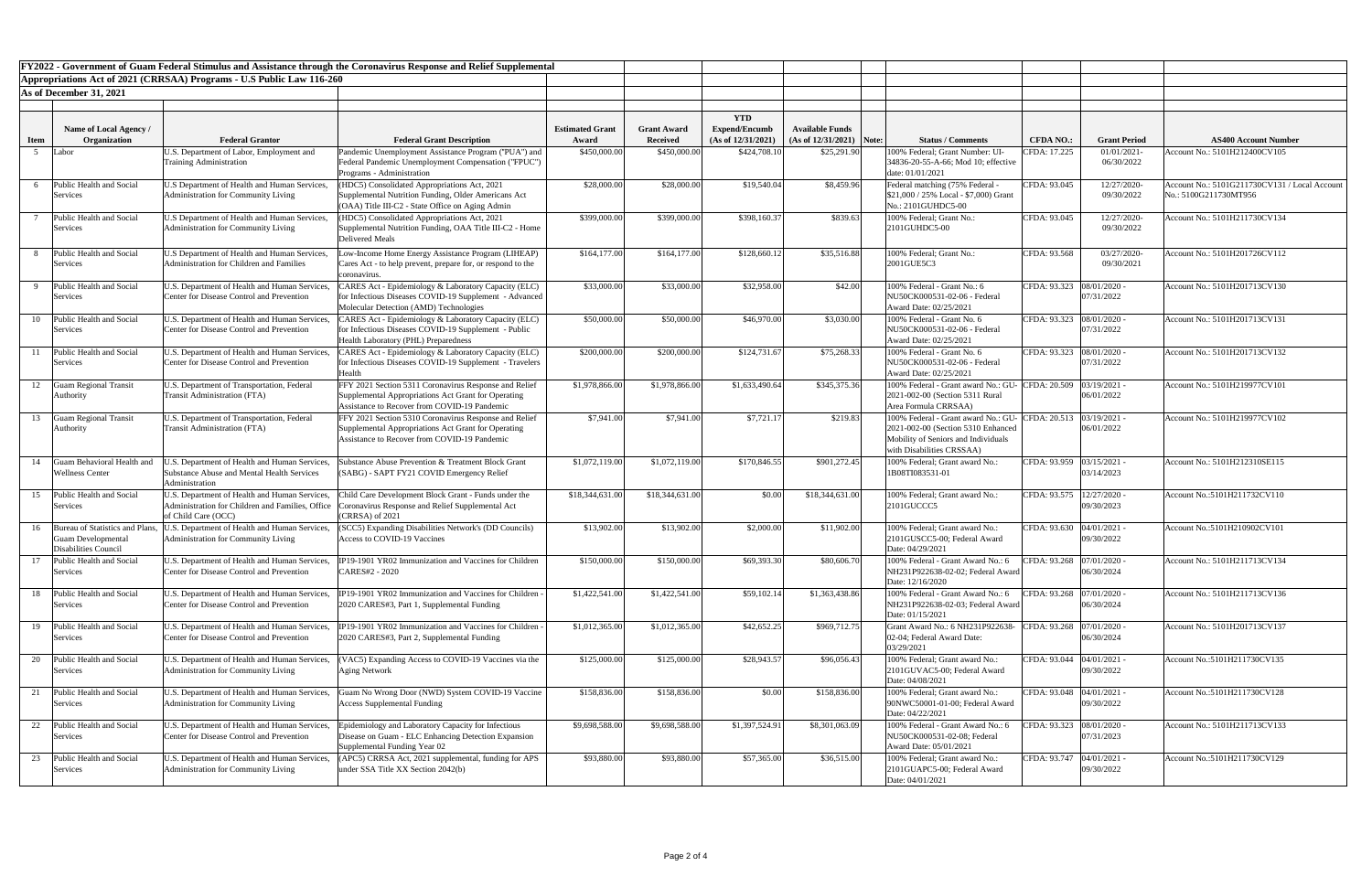|                         |                                                                               |                                                                                                                              | FY2022 - Government of Guam Federal Stimulus and Assistance through the Coronavirus Response and Relief Supplemental                                         |                        |                                 |                      |                            |                                                                                                                                                                                                                             |
|-------------------------|-------------------------------------------------------------------------------|------------------------------------------------------------------------------------------------------------------------------|--------------------------------------------------------------------------------------------------------------------------------------------------------------|------------------------|---------------------------------|----------------------|----------------------------|-----------------------------------------------------------------------------------------------------------------------------------------------------------------------------------------------------------------------------|
|                         |                                                                               | Appropriations Act of 2021 (CRRSAA) Programs - U.S Public Law 116-260                                                        |                                                                                                                                                              |                        |                                 |                      |                            |                                                                                                                                                                                                                             |
| As of December 31, 2021 |                                                                               |                                                                                                                              |                                                                                                                                                              |                        |                                 |                      |                            |                                                                                                                                                                                                                             |
|                         |                                                                               |                                                                                                                              |                                                                                                                                                              |                        |                                 |                      |                            |                                                                                                                                                                                                                             |
|                         |                                                                               |                                                                                                                              |                                                                                                                                                              |                        |                                 | <b>YTD</b>           |                            |                                                                                                                                                                                                                             |
|                         | Name of Local Agency /                                                        |                                                                                                                              |                                                                                                                                                              | <b>Estimated Grant</b> | <b>Grant Award</b>              | <b>Expend/Encumb</b> | <b>Available Funds</b>     |                                                                                                                                                                                                                             |
| <b>Item</b>             | Organization                                                                  | <b>Federal Grantor</b>                                                                                                       | <b>Federal Grant Description</b>                                                                                                                             | Award                  | <b>Received</b><br>\$450,000.00 | (As of 12/31/2021)   | $(As of 12/31/2021)$ Note: | <b>Status / Comments</b><br><b>Grant Period</b><br><b>AS400 Account Number</b><br><b>CFDA NO.:</b><br>100% Federal; Grant Number: UI-<br>Account No.: 5101H212400CV105                                                      |
|                         | Labor                                                                         | U.S. Department of Labor, Employment and<br><b>Training Administration</b>                                                   | Pandemic Unemployment Assistance Program ("PUA") and<br>[Federal Pandemic Unemployment Compensation ("FPUC")<br>Programs - Administration                    | \$450,000.00           |                                 | \$424,708.10         | \$25,291.90                | CFDA: 17.225<br>01/01/2021-<br>06/30/2022<br>34836-20-55-A-66; Mod 10; effective<br>date: 01/01/2021                                                                                                                        |
|                         | Public Health and Social                                                      | U.S Department of Health and Human Services,                                                                                 | HDC5) Consolidated Appropriations Act, 2021                                                                                                                  | \$28,000.00            | \$28,000.00                     | \$19,540.04          | \$8,459.96                 | 12/27/2020-<br>Federal matching (75% Federal -<br>CFDA: 93.045<br>Account No.: 5101G211730CV131 / Local Account                                                                                                             |
|                         | Services                                                                      | <b>Administration for Community Living</b>                                                                                   | Supplemental Nutrition Funding, Older Americans Act<br>$(OAA)$ Title III-C2 - State Office on Aging Admin                                                    |                        |                                 |                      |                            | 09/30/2022<br>No.: 5100G211730MT956<br>$$21,000 / 25\%$ Local - \$7,000) Grant<br>No.: 2101GUHDC5-00                                                                                                                        |
|                         | Public Health and Social<br>Services                                          | U.S Department of Health and Human Services,<br><b>Administration for Community Living</b>                                   | HDC5) Consolidated Appropriations Act, 2021<br>Supplemental Nutrition Funding, OAA Title III-C2 - Home<br>Delivered Meals                                    | \$399,000.00           | \$399,000.00                    | \$398,160.37         | \$839.63                   | CFDA: 93.045<br>12/27/2020-<br>Account No.: 5101H211730CV134<br>100% Federal; Grant No.:<br>2101GUHDC5-00<br>09/30/2022                                                                                                     |
|                         | Public Health and Social                                                      | U.S Department of Health and Human Services.                                                                                 | ow-Income Home Energy Assistance Program (LIHEAP)                                                                                                            | \$164,177.00           | \$164,177.00                    | \$128,660.1          | \$35,516.88                | 03/27/2020-<br>100% Federal; Grant No.:<br>CFDA: 93.568<br>Account No.: 5101H201726CV112                                                                                                                                    |
|                         | Services                                                                      | <b>Administration for Children and Families</b>                                                                              | Cares Act - to help prevent, prepare for, or respond to the<br>coronavirus.                                                                                  |                        |                                 |                      |                            | 2001GUE5C3<br>09/30/2021                                                                                                                                                                                                    |
|                         | Public Health and Social                                                      | U.S. Department of Health and Human Services,                                                                                | <b>ZARES Act - Epidemiology &amp; Laboratory Capacity (ELC)</b>                                                                                              | \$33,000.00            | \$33,000.00                     | \$32,958.00          | \$42.00                    | CFDA: 93.323  08/01/2020 -<br>100% Federal - Grant No.: 6<br>Account No.: 5101H201713CV130                                                                                                                                  |
|                         | Services                                                                      | <b>Center for Disease Control and Prevention</b>                                                                             | for Infectious Diseases COVID-19 Supplement - Advanced<br>Molecular Detection (AMD) Technologies                                                             |                        |                                 |                      |                            | NU50CK000531-02-06 - Federal<br>07/31/2022<br>Award Date: 02/25/2021                                                                                                                                                        |
|                         | 10 Public Health and Social<br>Services                                       | U.S. Department of Health and Human Services,<br>Center for Disease Control and Prevention                                   | CARES Act - Epidemiology & Laboratory Capacity (ELC)<br>for Infectious Diseases COVID-19 Supplement - Public<br>Health Laboratory (PHL) Preparedness         | \$50,000.00            | \$50,000.00                     | \$46,970.00          | \$3,030.00                 | CFDA: 93.323  08/01/2020 -<br>Account No.: 5101H201713CV131<br>100% Federal - Grant No. 6<br>NU50CK000531-02-06 - Federal<br>07/31/2022<br>Award Date: 02/25/2021                                                           |
| 11                      | Public Health and Social                                                      | U.S. Department of Health and Human Services,                                                                                | CARES Act - Epidemiology & Laboratory Capacity (ELC)                                                                                                         | \$200,000.00           | \$200,000.00                    | \$124,731.67         | \$75,268.33                | CFDA: 93.323<br>$08/01/2020$ .<br>100% Federal - Grant No. 6<br>Account No.: 5101H201713CV132                                                                                                                               |
|                         | Services                                                                      | <b>Center for Disease Control and Prevention</b>                                                                             | for Infectious Diseases COVID-19 Supplement - Travelers<br>Health                                                                                            |                        |                                 |                      |                            | 07/31/2022<br>NU50CK000531-02-06 - Federal<br>Award Date: 02/25/2021                                                                                                                                                        |
| 12                      | <b>Guam Regional Transit</b>                                                  | U.S. Department of Transportation, Federal                                                                                   | FFY 2021 Section 5311 Coronavirus Response and Relief                                                                                                        | \$1,978,866.00         | \$1,978,866.00                  | \$1,633,490.64       | \$345,375.36               | 100% Federal - Grant award No.: GU- CFDA: 20.509<br>$03/19/2021$ -<br>Account No.: 5101H219977CV101                                                                                                                         |
|                         | Authority                                                                     | <b>Transit Administration (FTA)</b>                                                                                          | Supplemental Appropriations Act Grant for Operating<br>Assistance to Recover from COVID-19 Pandemic                                                          |                        |                                 |                      |                            | 06/01/2022<br>2021-002-00 (Section 5311 Rural<br>Area Formula CRRSAA)                                                                                                                                                       |
| 13                      | <b>Guam Regional Transit</b><br>Authority                                     | U.S. Department of Transportation, Federal<br><b>Transit Administration (FTA)</b>                                            | FFY 2021 Section 5310 Coronavirus Response and Relief<br>Supplemental Appropriations Act Grant for Operating<br>Assistance to Recover from COVID-19 Pandemic | \$7,941.00             | \$7,941.00                      | \$7,721.1'           | \$219.83                   | 100% Federal - Grant award No.: GU- CFDA: 20.513<br>$03/19/2021$ -<br>Account No.: 5101H219977CV102<br>2021-002-00 (Section 5310 Enhanced<br>06/01/2022<br>Mobility of Seniors and Individuals<br>with Disabilities CRSSAA) |
| 14                      | Guam Behavioral Health and<br><b>Wellness Center</b>                          | I.S. Department of Health and Human Services,<br><b>Substance Abuse and Mental Health Services</b><br>Administration         | Substance Abuse Prevention & Treatment Block Grant<br>(SABG) - SAPT FY21 COVID Emergency Relief                                                              | \$1,072,119.00         | \$1,072,119.00                  | \$170,846.55         | \$901,272.45               | CFDA: 93.959<br>$03/15/2021$ -<br>100% Federal; Grant award No.:<br>Account No.: 5101H212310SE115<br>1B08TI083531-01<br>03/14/2023                                                                                          |
|                         | 15 Public Health and Social<br>Services                                       | U.S. Department of Health and Human Services,<br>Administration for Children and Families, Office   (<br>of Child Care (OCC) | Child Care Development Block Grant - Funds under the<br>Coronavirus Response and Relief Supplemental Act<br><b>CRRSA</b> ) of 2021                           | \$18,344,631.00        | \$18,344,631.00                 | \$0.00               | \$18,344,631.00            | $12/27/2020$ -<br>CFDA: 93.575<br>Account No.:5101H211732CV110<br>100% Federal; Grant award No.:<br>2101GUCCC5<br>09/30/2023                                                                                                |
| 16                      | Bureau of Statistics and Plans,<br>Guam Developmental<br>Disabilities Council | I.S. Department of Health and Human Services<br><b>Administration for Community Living</b>                                   | SCC5) Expanding Disabilities Network's (DD Councils)<br>Access to COVID-19 Vaccines                                                                          | \$13,902.00            | \$13,902.00                     | \$2,000.00           | \$11,902.00                | 100% Federal; Grant award No.:<br>$04/01/2021$ -<br>CFDA: 93.630<br>Account No.:5101H210902CV101<br>09/30/2022<br>2101GUSCC5-00; Federal Award<br>Date: 04/29/2021                                                          |
|                         | 17 Public Health and Social<br>Services                                       | U.S. Department of Health and Human Services,<br><b>Center for Disease Control and Prevention</b>                            | IP19-1901 YR02 Immunization and Vaccines for Children<br>CARES#2 - 2020                                                                                      | \$150,000.00           | \$150,000.00                    | \$69,393.30          | \$80,606.70                | CFDA: 93.268 07/01/2020 -<br>Account No.: 5101H211713CV134<br>100% Federal - Grant Award No.: 6<br>06/30/2024<br>NH231P922638-02-02; Federal Award<br>Date: 12/16/2020                                                      |
| 18                      | Public Health and Social<br>Services                                          | U.S. Department of Health and Human Services,<br><b>Center for Disease Control and Prevention</b>                            | IP19-1901 YR02 Immunization and Vaccines for Children<br>2020 CARES#3, Part 1, Supplemental Funding                                                          | \$1,422,541.00         | \$1,422,541.00                  | \$59,102.14          | \$1,363,438.86             | CFDA: 93.268 07/01/2020 -<br>100% Federal - Grant Award No.: 6<br>Account No.: 5101H211713CV136<br>06/30/2024<br>NH231P922638-02-03; Federal Award<br>Date: 01/15/2021                                                      |
|                         | 19 Public Health and Social<br>Services                                       | U.S. Department of Health and Human Services,<br><b>Center for Disease Control and Prevention</b>                            | IP19-1901 YR02 Immunization and Vaccines for Children<br>2020 CARES#3, Part 2, Supplemental Funding                                                          | \$1,012,365.00         | \$1,012,365.00                  | \$42,652.25          | \$969,712.75               | CFDA: 93.268   07/01/2020 -<br>Grant Award No.: 6 NH231P922638-<br>Account No.: 5101H201713CV137<br>06/30/2024<br>02-04; Federal Award Date:<br>03/29/2021                                                                  |
|                         | 20 Public Health and Social<br>Services                                       | U.S. Department of Health and Human Services,<br><b>Administration for Community Living</b>                                  | VAC5) Expanding Access to COVID-19 Vaccines via the<br>Aging Network                                                                                         | \$125,000.00           | \$125,000.00                    | \$28,943.57          | \$96,056.43                | CFDA: 93.044   04/01/2021 -<br>Account No.:5101H211730CV135<br>100% Federal; Grant award No.:<br>09/30/2022<br>2101GUVAC5-00; Federal Award<br>Date: 04/08/2021                                                             |
|                         | 21 Public Health and Social<br>Services                                       | Administration for Community Living                                                                                          | U.S. Department of Health and Human Services, Guam No Wrong Door (NWD) System COVID-19 Vaccine<br><b>Access Supplemental Funding</b>                         | \$158,836.00           | \$158,836.00                    | \$0.00               | \$158,836.00               | CFDA: 93.048 04/01/2021 -<br>100% Federal; Grant award No.:<br>Account No.:5101H211730CV128<br>09/30/2022<br>90NWC50001-01-00; Federal Award<br>Date: 04/22/2021                                                            |
|                         | 22 Public Health and Social<br>Services                                       | U.S. Department of Health and Human Services,<br><b>Center for Disease Control and Prevention</b>                            | Epidemiology and Laboratory Capacity for Infectious<br>Disease on Guam - ELC Enhancing Detection Expansion<br>Supplemental Funding Year 02                   | \$9,698,588.00         | \$9,698,588.00                  | \$1,397,524.91       | \$8,301,063.09             | CFDA: 93.323   08/01/2020 -<br>Account No.: 5101H211713CV133<br>100% Federal - Grant Award No.: 6<br>07/31/2023<br>NU50CK000531-02-08; Federal<br>Award Date: 05/01/2021                                                    |
| 23                      | Public Health and Social<br>Services                                          | U.S. Department of Health and Human Services,<br><b>Administration for Community Living</b>                                  | APC5) CRRSA Act, 2021 supplemental, funding for APS<br>under SSA Title XX Section 2042(b)                                                                    | \$93,880.00            | \$93,880.00                     | \$57,365.00          | \$36,515.00                | CFDA: 93.747   04/01/2021 -<br>Account No.:5101H211730CV129<br>100% Federal; Grant award No.:<br>09/30/2022<br>2101GUAPC5-00; Federal Award<br>Date: 04/01/2021                                                             |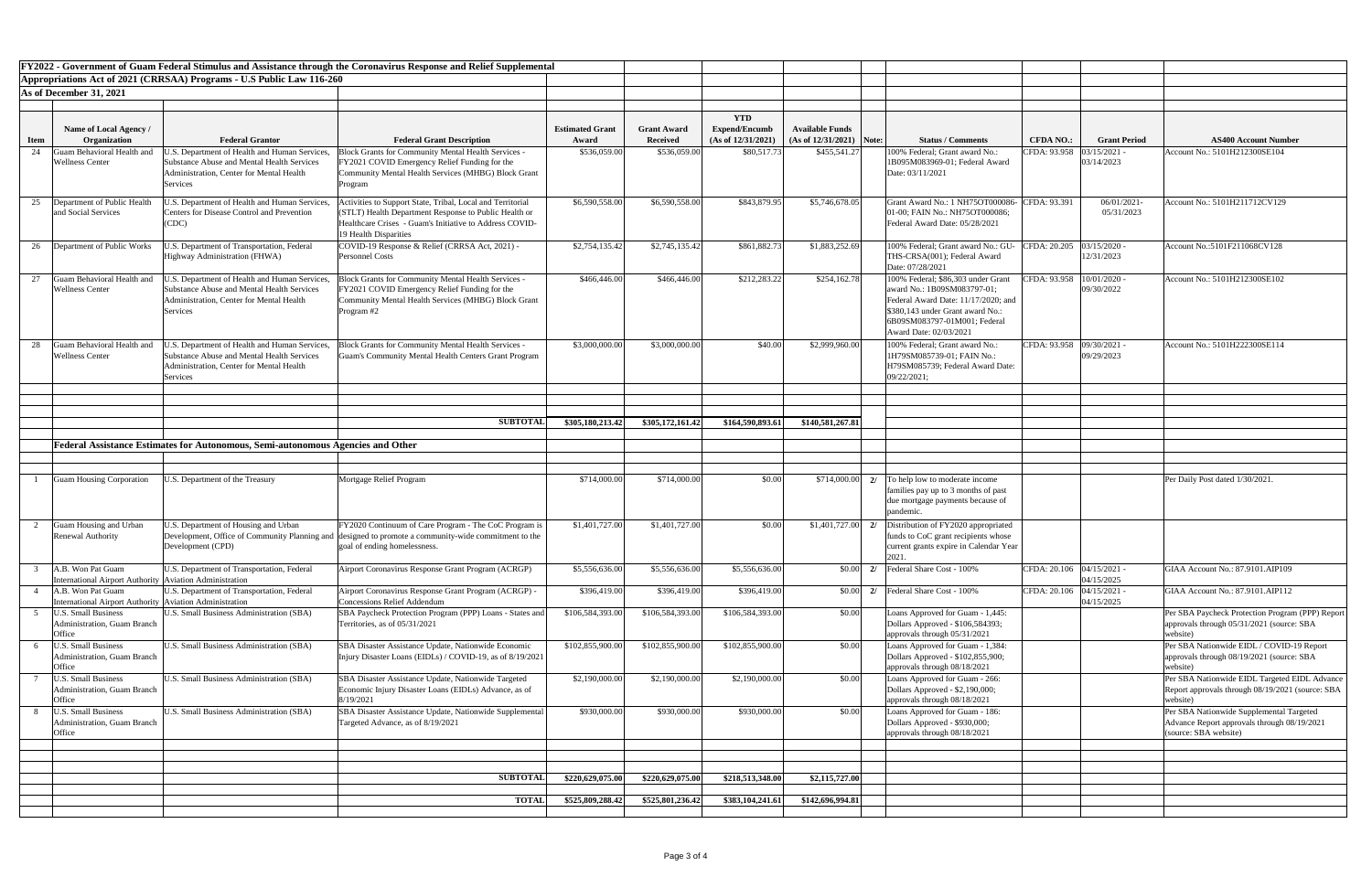|            |                                                                                |                                                                                                                                                            | FY2022 - Government of Guam Federal Stimulus and Assistance through the Coronavirus Response and Relief Supplemental                                                                                    |                                 |                                       |                                                             |                                                       |                                                                                                                                                                                                        |                             |                          |                                                                                                                  |
|------------|--------------------------------------------------------------------------------|------------------------------------------------------------------------------------------------------------------------------------------------------------|---------------------------------------------------------------------------------------------------------------------------------------------------------------------------------------------------------|---------------------------------|---------------------------------------|-------------------------------------------------------------|-------------------------------------------------------|--------------------------------------------------------------------------------------------------------------------------------------------------------------------------------------------------------|-----------------------------|--------------------------|------------------------------------------------------------------------------------------------------------------|
|            |                                                                                | Appropriations Act of 2021 (CRRSAA) Programs - U.S Public Law 116-260                                                                                      |                                                                                                                                                                                                         |                                 |                                       |                                                             |                                                       |                                                                                                                                                                                                        |                             |                          |                                                                                                                  |
|            | As of December 31, 2021                                                        |                                                                                                                                                            |                                                                                                                                                                                                         |                                 |                                       |                                                             |                                                       |                                                                                                                                                                                                        |                             |                          |                                                                                                                  |
|            |                                                                                |                                                                                                                                                            |                                                                                                                                                                                                         |                                 |                                       |                                                             |                                                       |                                                                                                                                                                                                        |                             |                          |                                                                                                                  |
|            | Name of Local Agency /<br>Organization                                         | <b>Federal Grantor</b>                                                                                                                                     | <b>Federal Grant Description</b>                                                                                                                                                                        | <b>Estimated Grant</b><br>Award | <b>Grant Award</b><br><b>Received</b> | <b>YTD</b><br><b>Expend/Encumb</b><br>(As of $12/31/2021$ ) | <b>Available Funds</b><br>(As of $12/31/2021$ ) Note: | <b>Status / Comments</b>                                                                                                                                                                               | <b>CFDA NO.:</b>            | <b>Grant Period</b>      | <b>AS400 Account Number</b>                                                                                      |
| Item<br>24 | Juam Behavioral Health and                                                     | J.S. Department of Health and Human Services,                                                                                                              | <b>Block Grants for Community Mental Health Services -</b>                                                                                                                                              | \$536,059.00                    | \$536,059.00                          | \$80,517.73                                                 | \$455,541.27                                          | 100% Federal; Grant award No.:                                                                                                                                                                         | CFDA: 93.958   03/15/2021 - |                          | Account No.: 5101H212300SE104                                                                                    |
|            | <b>Wellness Center</b>                                                         | <b>Substance Abuse and Mental Health Services</b><br>Administration, Center for Mental Health<br>Services                                                  | FY2021 COVID Emergency Relief Funding for the<br>Community Mental Health Services (MHBG) Block Grant<br>Program                                                                                         |                                 |                                       |                                                             |                                                       | 1B095M083969-01; Federal Award<br>Date: 03/11/2021                                                                                                                                                     |                             | 03/14/2023               |                                                                                                                  |
| 25         | Department of Public Health<br>and Social Services                             | J.S. Department of Health and Human Services,<br><b>Centers for Disease Control and Prevention</b><br>(CDC)                                                | Activities to Support State, Tribal, Local and Territorial<br>(STLT) Health Department Response to Public Health or<br>Healthcare Crises - Guam's Initiative to Address COVID-<br>19 Health Disparities | \$6,590,558.00                  | \$6,590,558.00                        | \$843,879.95                                                | \$5,746,678.05                                        | Grant Award No.: 1 NH75OT000086- CFDA: 93.391<br>01-00; FAIN No.: NH75OT000086;<br>Federal Award Date: 05/28/2021                                                                                      |                             | 06/01/2021<br>05/31/2023 | Account No.: 5101H211712CV129                                                                                    |
| 26         | Department of Public Works                                                     | I.S. Department of Transportation, Federal<br>Highway Administration (FHWA)                                                                                | COVID-19 Response & Relief (CRRSA Act, 2021) -<br><b>Personnel Costs</b>                                                                                                                                | \$2,754,135.42                  | \$2,745,135.42                        | \$861,882.73                                                | \$1,883,252.69                                        | 100% Federal; Grant award No.: GU-<br>THS-CRSA(001); Federal Award<br>Date: 07/28/2021                                                                                                                 | CFDA: 20.205 03/15/2020 -   | 12/31/2023               | Account No.:5101F211068CV128                                                                                     |
|            | Guam Behavioral Health and<br><b>Wellness Center</b>                           | J.S. Department of Health and Human Services,<br><b>Substance Abuse and Mental Health Services</b><br>Administration, Center for Mental Health<br>Services | <b>Block Grants for Community Mental Health Services -</b><br>FY2021 COVID Emergency Relief Funding for the<br>Community Mental Health Services (MHBG) Block Grant<br>Program #2                        | \$466,446.00                    | \$466,446.00                          | \$212,283.22                                                | \$254,162.78                                          | 100% Federal; \$86,303 under Grant<br>award No.: 1B09SM083797-01;<br>Federal Award Date: 11/17/2020; and<br>\$380,143 under Grant award No.:<br>6B09SM083797-01M001; Federal<br>Award Date: 02/03/2021 | CFDA: 93.958  10/01/2020 -  | 09/30/2022               | Account No.: 5101H212300SE102                                                                                    |
| 28         | Guam Behavioral Health and<br><b>Wellness Center</b>                           | J.S. Department of Health and Human Services,<br><b>Substance Abuse and Mental Health Services</b><br>Administration, Center for Mental Health<br>Services | <b>Block Grants for Community Mental Health Services -</b><br>Guam's Community Mental Health Centers Grant Program                                                                                      | \$3,000,000.00                  | \$3,000,000.00                        | \$40.00                                                     | \$2,999,960.00                                        | 100% Federal; Grant award No.:<br>1H79SM085739-01; FAIN No.:<br>H79SM085739; Federal Award Date:<br>09/22/2021;                                                                                        | CFDA: 93.958 09/30/2021 -   | 09/29/2023               | Account No.: 5101H222300SE114                                                                                    |
|            |                                                                                |                                                                                                                                                            |                                                                                                                                                                                                         |                                 |                                       |                                                             |                                                       |                                                                                                                                                                                                        |                             |                          |                                                                                                                  |
|            |                                                                                |                                                                                                                                                            | <b>SUBTOTAL</b>                                                                                                                                                                                         |                                 |                                       |                                                             |                                                       |                                                                                                                                                                                                        |                             |                          |                                                                                                                  |
|            |                                                                                |                                                                                                                                                            |                                                                                                                                                                                                         | \$305,180,213.42                | \$305,172,161.42                      | \$164,590,893.61                                            | \$140,581,267.81                                      |                                                                                                                                                                                                        |                             |                          |                                                                                                                  |
|            |                                                                                | Federal Assistance Estimates for Autonomous, Semi-autonomous Agencies and Other                                                                            |                                                                                                                                                                                                         |                                 |                                       |                                                             |                                                       |                                                                                                                                                                                                        |                             |                          |                                                                                                                  |
|            |                                                                                |                                                                                                                                                            |                                                                                                                                                                                                         |                                 |                                       |                                                             |                                                       |                                                                                                                                                                                                        |                             |                          |                                                                                                                  |
|            | <b>Guam Housing Corporation</b>                                                | J.S. Department of the Treasury                                                                                                                            | Mortgage Relief Program                                                                                                                                                                                 | \$714,000.00                    | \$714,000.00                          | \$0.00                                                      | \$714,000.00                                          | To help low to moderate income<br>families pay up to 3 months of past<br>due mortgage payments because of<br>pandemic.                                                                                 |                             |                          | Per Daily Post dated 1/30/2021.                                                                                  |
|            | Guam Housing and Urban                                                         | J.S. Department of Housing and Urban                                                                                                                       | FY2020 Continuum of Care Program - The CoC Program is                                                                                                                                                   | \$1,401,727.00                  | \$1,401,727.00                        | \$0.00                                                      | \$1,401,727.00                                        | Distribution of FY2020 appropriated                                                                                                                                                                    |                             |                          |                                                                                                                  |
|            | <b>Renewal Authority</b>                                                       | Development (CPD)                                                                                                                                          | Development, Office of Community Planning and designed to promote a community-wide commitment to the<br>goal of ending homelessness.                                                                    |                                 |                                       |                                                             |                                                       | funds to CoC grant recipients whose<br>current grants expire in Calendar Year                                                                                                                          |                             |                          |                                                                                                                  |
|            | A.B. Won Pat Guam<br>International Airport Authority   Aviation Administration | U.S. Department of Transportation, Federal                                                                                                                 | Airport Coronavirus Response Grant Program (ACRGP)                                                                                                                                                      | \$5,556,636.00                  | \$5,556,636.00                        | \$5,556,636.00                                              |                                                       | $\vert 0.00 \vert \vert 2$   Federal Share Cost - 100%                                                                                                                                                 | CFDA: 20.106   04/15/2021 - | 04/15/2025               | GIAA Account No.: 87.9101.AIP109                                                                                 |
|            | A.B. Won Pat Guam<br>International Airport Authority   Aviation Administration | U.S. Department of Transportation, Federal                                                                                                                 | Airport Coronavirus Response Grant Program (ACRGP) -<br><b>Concessions Relief Addendum</b>                                                                                                              | \$396,419.00                    | \$396,419.00                          | \$396,419.00                                                | \$0.00                                                | 2/ Federal Share Cost - 100%                                                                                                                                                                           | CFDA: 20.106 04/15/2021     | 04/15/2025               | GIAA Account No.: 87.9101.AIP112                                                                                 |
|            | J.S. Small Business<br><b>Administration, Guam Branch</b><br><b>Office</b>     | <b>J.S. Small Business Administration (SBA)</b>                                                                                                            | SBA Paycheck Protection Program (PPP) Loans - States and<br>Territories, as of 05/31/2021                                                                                                               | \$106,584,393.00                | \$106,584,393.00                      | \$106,584,393.00                                            | \$0.00                                                | Loans Approved for Guam - 1,445:<br>Dollars Approved - \$106,584393;<br>approvals through 05/31/2021                                                                                                   |                             |                          | Per SBA Paycheck Protection Program (PPP) Report<br>approvals through 05/31/2021 (source: SBA<br>website)        |
|            | J.S. Small Business<br><b>Administration, Guam Branch</b><br>Office            | <b>J.S. Small Business Administration (SBA)</b>                                                                                                            | SBA Disaster Assistance Update, Nationwide Economic<br>Injury Disaster Loans (EIDLs) / COVID-19, as of 8/19/2021                                                                                        | \$102,855,900.00                | \$102,855,900.00                      | \$102,855,900.00                                            | \$0.00                                                | Loans Approved for Guam - 1,384:<br>Dollars Approved - \$102,855,900;<br>approvals through 08/18/2021                                                                                                  |                             |                          | Per SBA Nationwide EIDL / COVID-19 Report<br>approvals through 08/19/2021 (source: SBA<br>website                |
|            | J.S. Small Business<br><b>Administration</b> , Guam Branch<br>Office           | U.S. Small Business Administration (SBA)                                                                                                                   | SBA Disaster Assistance Update, Nationwide Targeted<br>Economic Injury Disaster Loans (EIDLs) Advance, as of<br>8/19/2021                                                                               | \$2,190,000.00                  | \$2,190,000.00                        | \$2,190,000.00                                              | \$0.00                                                | Loans Approved for Guam - 266:<br>Dollars Approved - \$2,190,000;<br>approvals through 08/18/2021                                                                                                      |                             |                          | Per SBA Nationwide EIDL Targeted EIDL Advance<br>Report approvals through 08/19/2021 (source: SBA<br>website)    |
|            | U.S. Small Business<br><b>Administration, Guam Branch</b><br>Office            | U.S. Small Business Administration (SBA)                                                                                                                   | SBA Disaster Assistance Update, Nationwide Supplemental<br>Targeted Advance, as of 8/19/2021                                                                                                            | \$930,000.00                    | \$930,000.00                          | \$930,000.00                                                | \$0.00                                                | Loans Approved for Guam - 186:<br>Dollars Approved - \$930,000;<br>approvals through 08/18/2021                                                                                                        |                             |                          | Per SBA Nationwide Supplemental Targeted<br>Advance Report approvals through 08/19/2021<br>(source: SBA website) |
|            |                                                                                |                                                                                                                                                            |                                                                                                                                                                                                         |                                 |                                       |                                                             |                                                       |                                                                                                                                                                                                        |                             |                          |                                                                                                                  |
|            |                                                                                |                                                                                                                                                            | <b>SUBTOTAL</b>                                                                                                                                                                                         | \$220,629,075.00                | \$220,629,075.00                      | \$218,513,348.00                                            | \$2,115,727.00                                        |                                                                                                                                                                                                        |                             |                          |                                                                                                                  |
|            |                                                                                |                                                                                                                                                            |                                                                                                                                                                                                         |                                 |                                       |                                                             |                                                       |                                                                                                                                                                                                        |                             |                          |                                                                                                                  |
|            |                                                                                |                                                                                                                                                            | <b>TOTAL</b>                                                                                                                                                                                            | \$525,809,288.42                | \$525,801,236.42                      | \$383,104,241.61                                            | \$142,696,994.81                                      |                                                                                                                                                                                                        |                             |                          |                                                                                                                  |
|            |                                                                                |                                                                                                                                                            |                                                                                                                                                                                                         |                                 |                                       |                                                             |                                                       |                                                                                                                                                                                                        |                             |                          |                                                                                                                  |

| <b>Number</b>                               |
|---------------------------------------------|
| 104                                         |
|                                             |
| $\overline{7129}$                           |
|                                             |
| 128                                         |
| 102                                         |
|                                             |
|                                             |
| $\frac{1}{114}$                             |
|                                             |
|                                             |
|                                             |
|                                             |
|                                             |
|                                             |
|                                             |
|                                             |
|                                             |
|                                             |
|                                             |
|                                             |
| $\overline{IP109}$                          |
|                                             |
| $\overline{IP112}$                          |
| Program (PPP) Report<br>(source: SBA        |
| OVID-19 Report<br>(source: SBA              |
| geted EIDL Advance<br>$9/2021$ (source: SBA |
| ental Targeted                              |
| ugh 08/19/2021                              |
|                                             |
|                                             |
|                                             |
|                                             |
|                                             |
|                                             |